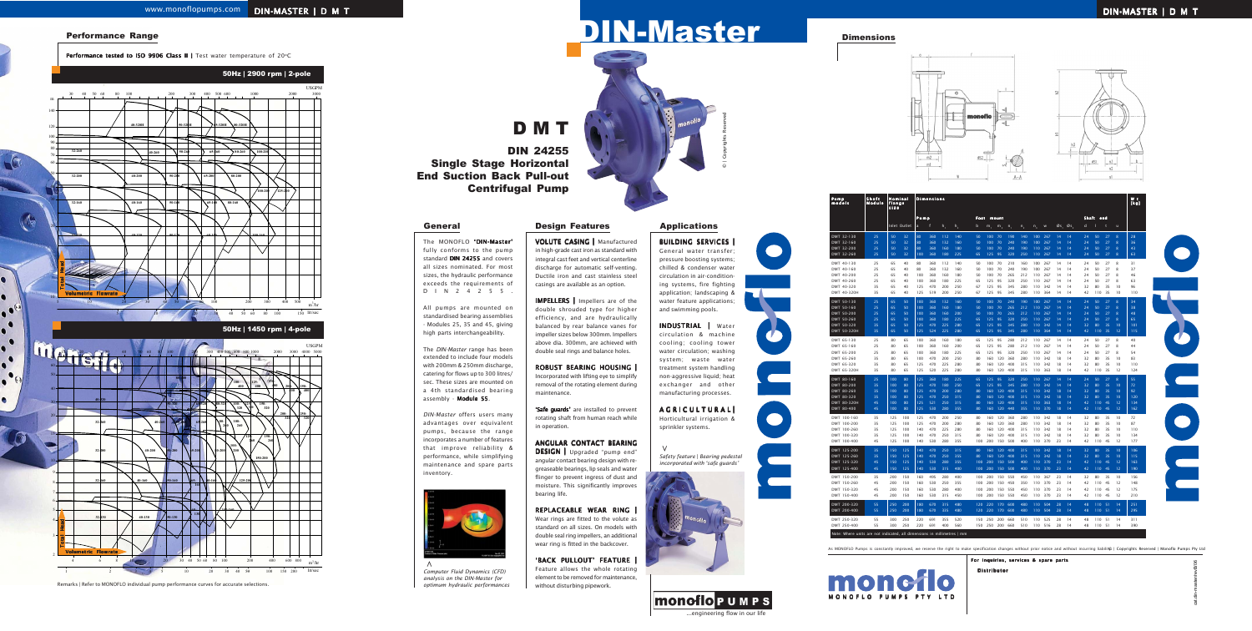2 3 4 5

# D M T

The *DIN-Master* range has been extended to include four models with 200mm & 250mm discharge, catering for flows up to 300 litres/ sec. These sizes are mounted on a 4th standardised bearing assembly - Module 55.

# DIN-Master

The MONOFLO 'DIN-Master' fully conforms to the pump standard DIN 24255 and covers all sizes nominated. For most sizes, the hydraulic performance exceeds the requirements of DIN24255.

All pumps are mounted on standardised bearing assemblies - Modules 25, 35 and 45, giving high parts interchangeability.

> 'Safe quards' are installed to prevent rotating shaft from human reach while in operation.

DESIGN | Upgraded "pump end" angular contact bearing design with regreaseable bearings, lip seals and water flinger to prevent ingress of dust and moisture. This significantly improves bearing life.

*DIN-Master* offers users many advantages over equivalent pumps, because the range incorporates a number of features that improve reliability & performance, while simplifying maintenance and spare parts inventory.

BUILDING SERVICES General water transfer;

VOLUTE CASING | Manufactured in high-grade cast iron as standard with integral cast feet and vertical centerline discharge for automatic self-venting. Ductile iron and cast stainless steel casings are available as an option.

> AGRICULTURALI Horticultural irrigation & sprinkler systems.

IMPELLERS | Impellers are of the double shrouded type for higher efficiency, and are hydraulically balanced by rear balance vanes for impeller sizes below 300mm. Impellers above dia. 300mm, are achieved with double seal rings and balance holes.

ROBUST BEARING HOUSING | Incorporated with lifting eye to simplify removal of the rotating element during maintenance.

### ANGULAR CONTACT BEARING

#### REPLACEABLE WEAR RING |

Wear rings are fitted to the volute as standard on all sizes. On models with double seal ring impellers, an additional wear ring is fitted in the backcover.

'BACK PULLOUT' FEATURE

Feature allows the whole rotating element to be removed for maintenance, without disturbing pipework.



DIN 24255 Single Stage Horizontal End Suction Back Pull-out Centrifugal Pump

*Safety feature* | *Bearing pedestal incorporated with 'safe guards'*



pressure boosting systems; chilled & condenser water circulation in air-conditioning systems, fire fighting application; landscaping & water feature applications; and swimming pools.

INDUSTRIAL | Water circulation & machine cooling; cooling tower water circulation; washing system; waste water treatment system handling non-aggressive liquid; heat exchanger and other manufacturing processes.

**>**











#### Dimensions

lit/sec m 15 20 30 40 50 60 80 100 300 400 500 600 800 1000 2000 5000 600 3000 3000 5000 40 20 7 9 15 8 10 5 2 50 60 30 4 6 3 40 50 80 1 10 20 30 40 50 100 150 200 4 6 8 10 20 30 40 50 60 80 100 200 400 600 800 6 8 **40-320 32-260 32-200 32-160 40-260 40-200 40-160 40-130 80-400 50-320 50-260 50-200 50-160 50-130 65-200 65- 160 65- 130 80-160 100-160 80-200 80- 260 65-320 80-320 100- 200 125-200 100- 260 32-130 100- 400 150- 320 200- 320 200- 400 125- 400 150- 400 250- 320 250- 400 65-260 150-200 150- 260 125- 260 100- 320 125- 320**  USGPM  $m^3/hr$ 50Hz | 2900 rpm | 2-pole 50Hz | 1450 rpm | 4-pole 5 10 20 30 40 50 60 80 100 150 400 500 30 40 50 60 80 600 100 200 300 400 500 1000 2000 3000 5 100 80 70 60 50 40 20 10 120 140 90 **32-260 32-200 32-160 32-130 40-260 40-200 40-160 40-130 40-320H 50-320H 50-260 50-200 50-160 50-130 65-260 65-200 65-160 65-130 80-160 100-160 80-200 80-260 65-320H 80-320H 100-200 125-200 100-200 USGPM**  $m^3/h$  $150$  lit/sec Total Head Volumetric Flowrate Total Head Volumetric Flowrate

| Pump<br>models                                                                         | Shaft<br>Nominal<br><b>Dimensions</b><br>Module<br>flange<br>size |            |              |                                       |            |            |                |           |            |                |            |            |                | Wt<br>[kg] |          |          |          |            |          |          |            |
|----------------------------------------------------------------------------------------|-------------------------------------------------------------------|------------|--------------|---------------------------------------|------------|------------|----------------|-----------|------------|----------------|------------|------------|----------------|------------|----------|----------|----------|------------|----------|----------|------------|
|                                                                                        |                                                                   |            |              | Pump<br>Foot<br>Shaft<br>end<br>mount |            |            |                |           |            |                |            |            |                |            |          |          |          |            |          |          |            |
|                                                                                        |                                                                   |            | Inlet Outlet | a                                     | f          | $h_1$      | h <sub>2</sub> | b         | m,         | m <sub>2</sub> | $n_{1}$    | $n_{2}$    | $n_{\tiny{3}}$ | w          | Øs,      | Øs,      | d        |            | t        | ū        |            |
| DMT 32-130                                                                             | 25                                                                | 50         | 32           | 80                                    | 360        | 112        | 140            | 50        | 100        | 70             | 190        | 140        | 100            | 267        | 14       | 14       | 24       | 50         | 27       | 8        | 28         |
| DMT 32-160                                                                             | 25                                                                | 50         | 32           | 80                                    | 360        | 132        | 160            | 50        | 100        | 70             | 240        | 190        | 100            | 267        | 14       | 14       | 24       | 50         | 27       | 8        | 36         |
| DMT 32-200                                                                             | 25<br>25                                                          | 50<br>50   | 32<br>32     | 80<br>100                             | 360<br>360 | 160<br>180 | 180<br>225     | 50<br>65  | 100<br>125 | 70<br>95       | 240<br>320 | 190<br>250 | 110<br>110     | 267<br>267 | 14<br>14 | 14<br>14 | 24<br>24 | 50<br>50   | 27<br>27 | 8<br>8   | 43<br>63   |
| DMT 32-260                                                                             |                                                                   |            |              |                                       |            |            |                |           |            |                |            |            |                |            |          |          |          |            |          |          |            |
| DMT 40-130<br>DMT 40-160                                                               | 25<br>25                                                          | 65<br>65   | 40<br>40     | 80<br>80                              | 360<br>360 | 112<br>132 | 140<br>160     | 50<br>50  | 100<br>100 | 70<br>70       | 210<br>240 | 160<br>190 | 100<br>100     | 267<br>267 | 14<br>14 | 14<br>14 | 24<br>24 | 50<br>50   | 27<br>27 | 8<br>8   | 31<br>37   |
| DMT 40-200                                                                             | 25                                                                | 65         | 40           | 100                                   | 360        | 160        | 180            | 50        | 100        | 70             | 265        | 212        | 110            | 267        | 14       | 14       | 24       | 50         | 27       | 8        | 46         |
| DMT 40-260                                                                             | 25                                                                | 65         | 40           | 100                                   | 360        | 180        | 225            | 65        | 125        | 95             | 320        | 250        | 110            | 267        | 14       | 14       | 24       | 50         | 27       | 8        | 63         |
| DMT 40-320<br>DMT 40-320H                                                              | 35<br>35                                                          | 65<br>65   | 40<br>40     | 125<br>125                            | 470<br>519 | 200<br>200 | 250<br>250     | 67<br>67  | 125<br>125 | 95<br>95       | 345<br>345 | 280<br>280 | 110<br>110     | 342<br>364 | 14<br>14 | 14<br>14 | 32<br>42 | 80<br>110  | 35<br>35 | 10<br>10 | 96<br>110  |
|                                                                                        |                                                                   |            |              |                                       |            |            |                |           |            |                |            |            |                |            |          |          |          |            |          |          |            |
| DMT 50-130<br>DMT 50-160                                                               | 25<br>25                                                          | 65<br>65   | 50<br>50     | 100<br>100                            | 360<br>360 | 132<br>160 | 160<br>180     | 50<br>50  | 100<br>100 | 70<br>70       | 240<br>265 | 190<br>212 | 100<br>110     | 267<br>267 | 14<br>14 | 14<br>14 | 24<br>24 | 50<br>50   | 27<br>27 | 8<br>8   | 34<br>38   |
| DMT 50-200                                                                             | 25                                                                | 65         | 50           | 100                                   | 360        | 160        | 200            | 50        | 100        | 70             | 265        | 212        | 110            | 267        | 14       | 14       | 24       | 50         | 27       | 8        | 48         |
| DMT 50-260                                                                             | 25                                                                | 65         | 50           | 100                                   | 360        | 180        | 225            | 65        | 125        | 95             | 320        | 250        | 110            | 267        | 14       | 14       | 24       | 50         | 27       | 8        | 65         |
| DMT 50-320                                                                             | 35<br>35                                                          | 65<br>65   | 50<br>50     | 125<br>125                            | 470<br>524 | 225<br>225 | 280<br>280     | 65<br>65  | 125<br>125 | Q5<br>95       | 345<br>345 | 280<br>280 | 110<br>110     | 342<br>364 | 14<br>14 | 14<br>14 | 32<br>42 | 80<br>110  | 35<br>35 | 10<br>12 | 101<br>115 |
| DMT 50-320H                                                                            |                                                                   |            |              |                                       |            |            |                |           |            |                |            |            |                |            |          |          |          |            |          |          |            |
| DMT 65-130<br>DMT 65-160                                                               | 25<br>25                                                          | 80<br>80   | 65<br>65     | 100<br>100                            | 360<br>360 | 160<br>160 | 180<br>200     | 65<br>65  | 125<br>125 | 95<br>95       | 280<br>280 | 212<br>212 | 110<br>110     | 267<br>267 | 14<br>14 | 14<br>14 | 24<br>24 | 50<br>50   | 27<br>27 | 8<br>8   | 40<br>44   |
| DMT 65-200                                                                             | 25                                                                | 80         | 65           | 100                                   | 360        | 180        | 225            | 65        | 125        | 95             | 320        | 250        | 110            | 267        | 14       | 14       | 24       | 50         | 27       | 8        | 54         |
| DMT 65-260                                                                             | 35                                                                | 80         | 65           | 100                                   | 470        | 200        | 250            | 80        | 160        | 120            | 360        | 280        | 110            | 342        | 18       | 14       | 32       | 80         | 35       | 10       | 83         |
| DMT 65-320                                                                             | 35<br>35                                                          | 80<br>80   | 65           | 125<br>125                            | 470<br>520 | 225<br>225 | 280            | 80<br>80  | 160        | 120<br>120     | 400<br>400 | 315<br>315 | 110<br>110     | 342<br>363 | 18       | 14<br>14 | 32<br>42 | 80<br>110  | 35<br>35 | 10       | 110        |
| DMT 65-320H                                                                            |                                                                   |            | 65           |                                       |            |            | 280            |           | 160        |                |            |            |                |            | 18       |          |          |            |          | 12       | 124        |
| DMT 80-160<br>DMT 80-200                                                               | 25<br>35                                                          | 100<br>100 | 80<br>80     | 125<br>125                            | 360<br>470 | 180<br>180 | 225<br>250     | 65<br>65  | 125<br>125 | 95<br>95       | 320<br>345 | 250<br>280 | 110<br>110     | 267<br>342 | 14<br>14 | 14<br>14 | 24<br>32 | 50<br>80   | 27<br>35 | 8<br>10  | 55<br>72   |
| DMT 80-260                                                                             | 35                                                                | 100        | 80           | 125                                   | 470        | 200        | 280            | 80        | 160        | 120            | 400        | 315        | 110            | 342        | 18       | 14       | 32       | 80         | 35       | 10       | 92         |
| DMT 80-320                                                                             | 35                                                                | 100        | 80           | 125                                   | 470        | 250        | 315            | 80        | 160        | 120            | 400        | 315        | 110            | 342        | 18       | 14       | 32       | 80         | 35       | 10       | 120        |
| DMT 80-320H                                                                            | 45<br>45                                                          | 100        | 80<br>80     | 125<br>125                            | 521<br>530 | 250        | 315            | 80<br>80  | 160<br>160 | 120<br>120     | 400<br>440 | 315<br>355 | 110<br>110     | 363<br>370 | 18       | 14<br>14 | 42<br>42 | 110<br>110 | 45<br>45 | 12<br>12 | 134        |
| DMT 80-400                                                                             |                                                                   | 100        |              |                                       |            | 280        | 355            |           |            |                |            |            |                |            | 18       |          |          |            |          |          | 162        |
| DMT 100-160<br>DMT 100-200                                                             | 35<br>35                                                          | 125<br>125 | 100<br>100   | 125<br>125                            | 470<br>470 | 200<br>200 | 250<br>280     | 80<br>80  | 160<br>160 | 120<br>120     | 360<br>360 | 280<br>280 | 110<br>110     | 342<br>342 | 18<br>18 | 14<br>14 | 32<br>32 | 80<br>80   | 35<br>35 | 10<br>10 | 72<br>87   |
| DMT 100-260                                                                            | 35                                                                | 125        | 100          | 140                                   | 470        | 225        | 280            | 80        | 160        | 120            | 400        | 315        | 110            | 342        | 18       | 14       | 32       | 80         | 35       | 10       | 110        |
| DMT 100-320                                                                            | 35                                                                | 125        | 100          | 140                                   | 470        | 250        | 315            | 80        | 160        | 120            | 400        | 315        | 110            | 342        | 18       | 14       | 32       | 80         | 35       | 10       | 134        |
| DMT 100-400                                                                            | 45                                                                | 125        | 100          | 140                                   | 530        | 280        | 355            | 100       | 200        | 150            | 500        | 400        | 110            | 370        | 23       | 14       | 42       | 110        | 45       | 12       | 177        |
| DMT 125-200                                                                            | 35                                                                | 150        | 125          | 140                                   | 470        | 250        | 315            | 80        | 160        | 120            | 400        | 315        | 110            | 342        | 18       | 14       | 32       | 80         | 35       | 10       | 106        |
| DMT 125-260<br>DMT 125-320                                                             | 35<br>45                                                          | 150<br>150 | 125<br>125   | 140<br>140                            | 470<br>530 | 250<br>280 | 355<br>355     | 80<br>100 | 160<br>200 | 120<br>150     | 400<br>500 | 315<br>400 | 110<br>110     | 342<br>370 | 18<br>23 | 14<br>14 | 32<br>42 | 80<br>110  | 35<br>45 | 10<br>12 | 115<br>163 |
| DMT 125-400                                                                            | 45                                                                | 150        | 125          | 140                                   | 530        | 315        | 400            | 100       | 200        | 150            | 500        | 400        | 110            | 370        | 23       | 14       | 42       | 110        | 45       | 12       | 190        |
| DMT 150-200                                                                            | 35                                                                | 200        | 150          | 160                                   | 495        | 280        | 400            | 100       | 200        | 150            | 550        | 450        | 110            | 367        | 23       | 14       | 32       | 80         | 35       | 10       | 156        |
| DMT 150-260                                                                            | 45                                                                | 200        | 150          | 160                                   | 530        | 250        | 355            | 100       | 200        | 150            | 450        | 350        | 110            | 370        | 23       | 14       | 42       | 110        | 45       | 12       | 148        |
| DMT 150-320                                                                            | 45                                                                | 200        | 150          | 160                                   | 530        | 280        | 400            | 100       | 200        | 150            | 550        | 450        | 110            | 370        | 23       | 14       | 42       | 110        | 45       | 12       | 175        |
| DMT 150-400                                                                            | 45                                                                | 200        | 150          | 160                                   | 530        | 315        | 450            | 100       | 200        | 150            | 550        | 450        | 110            | 370        | 23       | 14       | 42       | 110        | 45       | 12       | 210        |
| DMT 200-320                                                                            | 55                                                                | 250        | 200          | 180                                   | 670        | 315        | 480            | 120       | 220        | 170            | 600        | 480        | 110            | 504        | 28       | 14       | 48       | 110        | -51      | 14       | 251        |
| DMT 200-400                                                                            | 55                                                                | 250        | 200          | 180                                   | 670        | 335        | 480            | 120       | 220        | 170            | 600        | 480        | 110            | 504        | 28       | 14       | 48       | 110        | 51       | 14       | 295        |
| DMT 250-320                                                                            | 55                                                                | 300        | 250          | 220                                   | 691        | 355<br>400 | 520            | 150       | 250        | 200            | 660        | 510        | 110            | 525        | 28       | 14       | 48       | 110        | 51       | 14       | 311        |
| DMT 250-400<br>Note: Where units are not indicated, all dimensions in millimetres   mm | 55                                                                | 300        | 250          | 220                                   | 691        |            | 560            | 150       | 250        | 200            | 660        | 510        | 110            | 516        | 28       | 14       | 48       | 110        | 51       | 14       | 390        |



As MONOFLO Pumps is constantly improved, we reserve the right to make specification changes without prior notice and without incurring liabilit© | Copyrights Reserved | Monoflo Pumps Pty Ltd

*Computer Fluid Dynamics (CFD) analysis on the DIN-Master for optimum hydraulic performances*

#### General **Design Features** Applications



Distributor

For inquiries, services & spare parts

MONOFLO PUMPS PTY LTD

monctio

cat.din-master/revB/06

# Performance Range

**Calgo** 

 $\bullet^\circ$  $\bullet$ 

 $\bullet$ 

 $\ddot{\phantom{0}}$ 

 $\bullet$ 

 $\bullet$ 

Performance tested to ISO 9906 Class II | Test water temperature of 20°C

Remarks | Refer to MONOFLO individual pump performance curves for accurate selections.